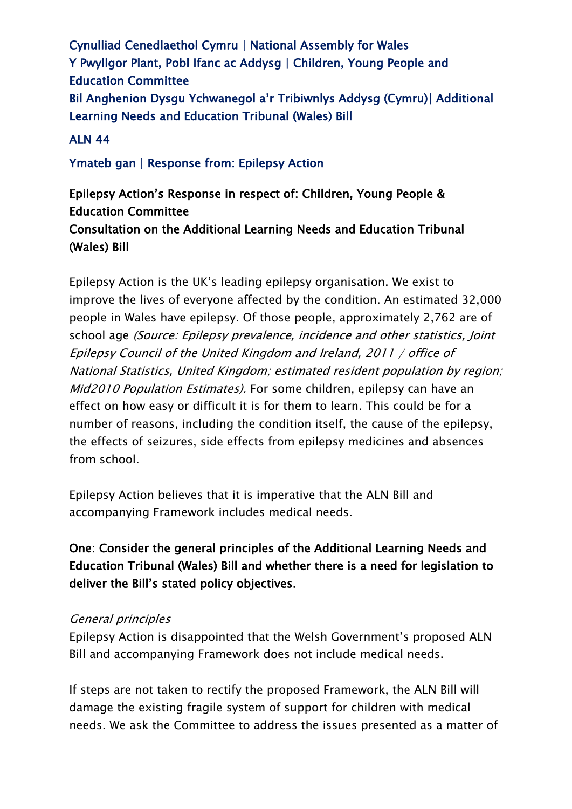Cynulliad Cenedlaethol Cymru | National Assembly for Wales Y Pwyllgor Plant, Pobl Ifanc ac Addysg | Children, Young People and Education Committee Bil Anghenion Dysgu Ychwanegol a'r Tribiwnlys Addysg (Cymru)| Additional Learning Needs and Education Tribunal (Wales) Bill

#### ALN 44

Ymateb gan | Response from: Epilepsy Action

# Epilepsy Action's Response in respect of: Children, Young People & Education Committee Consultation on the Additional Learning Needs and Education Tribunal (Wales) Bill

Epilepsy Action is the UK's leading epilepsy organisation. We exist to improve the lives of everyone affected by the condition. An estimated 32,000 people in Wales have epilepsy. Of those people, approximately 2,762 are of school age (Source: Epilepsy prevalence, incidence and other statistics, Joint Epilepsy Council of the United Kingdom and Ireland, 2011 / office of National Statistics, United Kingdom; estimated resident population by region; Mid2010 Population Estimates). For some children, epilepsy can have an effect on how easy or difficult it is for them to learn. This could be for a number of reasons, including the condition itself, the cause of the epilepsy, the effects of seizures, side effects from epilepsy medicines and absences from school.

Epilepsy Action believes that it is imperative that the ALN Bill and accompanying Framework includes medical needs.

One: Consider the general principles of the Additional Learning Needs and Education Tribunal (Wales) Bill and whether there is a need for legislation to deliver the Bill's stated policy objectives.

#### General principles

Epilepsy Action is disappointed that the Welsh Government's proposed ALN Bill and accompanying Framework does not include medical needs.

If steps are not taken to rectify the proposed Framework, the ALN Bill will damage the existing fragile system of support for children with medical needs. We ask the Committee to address the issues presented as a matter of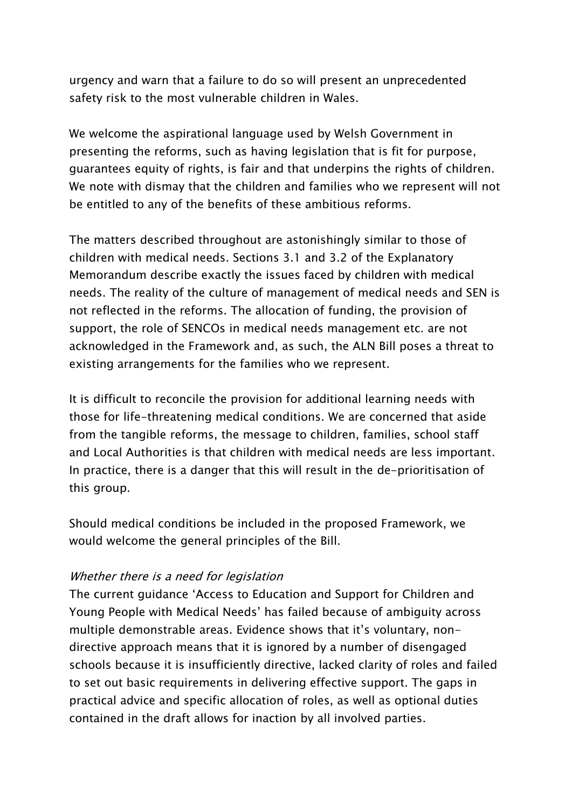urgency and warn that a failure to do so will present an unprecedented safety risk to the most vulnerable children in Wales.

We welcome the aspirational language used by Welsh Government in presenting the reforms, such as having legislation that is fit for purpose, guarantees equity of rights, is fair and that underpins the rights of children. We note with dismay that the children and families who we represent will not be entitled to any of the benefits of these ambitious reforms.

The matters described throughout are astonishingly similar to those of children with medical needs. Sections 3.1 and 3.2 of the Explanatory Memorandum describe exactly the issues faced by children with medical needs. The reality of the culture of management of medical needs and SEN is not reflected in the reforms. The allocation of funding, the provision of support, the role of SENCOs in medical needs management etc. are not acknowledged in the Framework and, as such, the ALN Bill poses a threat to existing arrangements for the families who we represent.

It is difficult to reconcile the provision for additional learning needs with those for life-threatening medical conditions. We are concerned that aside from the tangible reforms, the message to children, families, school staff and Local Authorities is that children with medical needs are less important. In practice, there is a danger that this will result in the de-prioritisation of this group.

Should medical conditions be included in the proposed Framework, we would welcome the general principles of the Bill.

#### Whether there is a need for legislation

The current guidance 'Access to Education and Support for Children and Young People with Medical Needs' has failed because of ambiguity across multiple demonstrable areas. Evidence shows that it's voluntary, nondirective approach means that it is ignored by a number of disengaged schools because it is insufficiently directive, lacked clarity of roles and failed to set out basic requirements in delivering effective support. The gaps in practical advice and specific allocation of roles, as well as optional duties contained in the draft allows for inaction by all involved parties.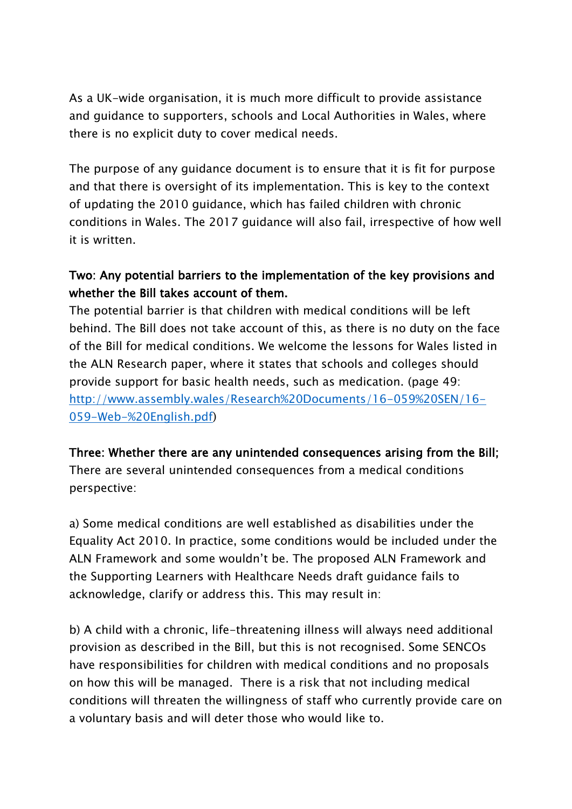As a UK-wide organisation, it is much more difficult to provide assistance and guidance to supporters, schools and Local Authorities in Wales, where there is no explicit duty to cover medical needs.

The purpose of any guidance document is to ensure that it is fit for purpose and that there is oversight of its implementation. This is key to the context of updating the 2010 guidance, which has failed children with chronic conditions in Wales. The 2017 guidance will also fail, irrespective of how well it is written.

### Two: Any potential barriers to the implementation of the key provisions and whether the Bill takes account of them.

The potential barrier is that children with medical conditions will be left behind. The Bill does not take account of this, as there is no duty on the face of the Bill for medical conditions. We welcome the lessons for Wales listed in the ALN Research paper, where it states that schools and colleges should provide support for basic health needs, such as medication. (page 49: [http://www.assembly.wales/Research%20Documents/16-059%20SEN/16-](http://www.assembly.wales/Research%20Documents/16-059%20SEN/16-059-Web-%20English.pdf) [059-Web-%20English.pdf\)](http://www.assembly.wales/Research%20Documents/16-059%20SEN/16-059-Web-%20English.pdf)

#### Three: Whether there are any unintended consequences arising from the Bill;

There are several unintended consequences from a medical conditions perspective:

a) Some medical conditions are well established as disabilities under the Equality Act 2010. In practice, some conditions would be included under the ALN Framework and some wouldn't be. The proposed ALN Framework and the Supporting Learners with Healthcare Needs draft guidance fails to acknowledge, clarify or address this. This may result in:

b) A child with a chronic, life-threatening illness will always need additional provision as described in the Bill, but this is not recognised. Some SENCOs have responsibilities for children with medical conditions and no proposals on how this will be managed. There is a risk that not including medical conditions will threaten the willingness of staff who currently provide care on a voluntary basis and will deter those who would like to.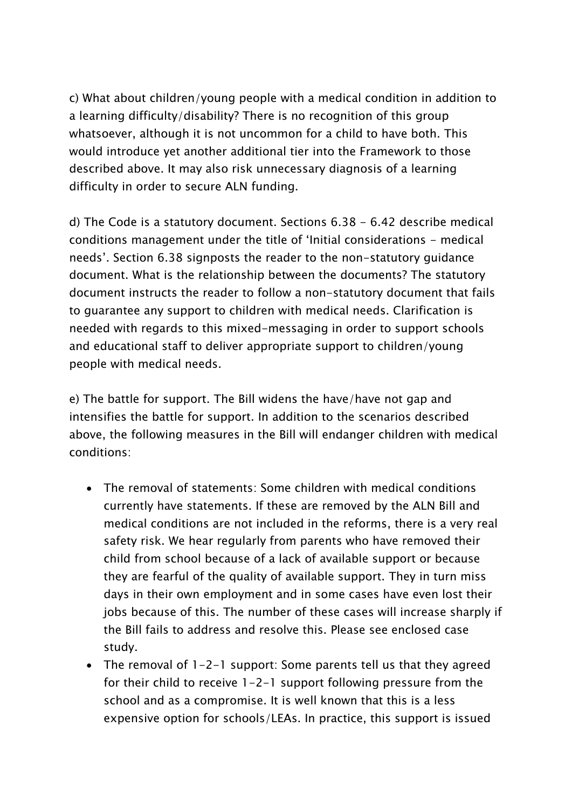c) What about children/young people with a medical condition in addition to a learning difficulty/disability? There is no recognition of this group whatsoever, although it is not uncommon for a child to have both. This would introduce yet another additional tier into the Framework to those described above. It may also risk unnecessary diagnosis of a learning difficulty in order to secure ALN funding.

d) The Code is a statutory document. Sections 6.38 - 6.42 describe medical conditions management under the title of 'Initial considerations - medical needs'. Section 6.38 signposts the reader to the non-statutory guidance document. What is the relationship between the documents? The statutory document instructs the reader to follow a non-statutory document that fails to guarantee any support to children with medical needs. Clarification is needed with regards to this mixed-messaging in order to support schools and educational staff to deliver appropriate support to children/young people with medical needs.

e) The battle for support. The Bill widens the have/have not gap and intensifies the battle for support. In addition to the scenarios described above, the following measures in the Bill will endanger children with medical conditions:

- The removal of statements: Some children with medical conditions currently have statements. If these are removed by the ALN Bill and medical conditions are not included in the reforms, there is a very real safety risk. We hear regularly from parents who have removed their child from school because of a lack of available support or because they are fearful of the quality of available support. They in turn miss days in their own employment and in some cases have even lost their jobs because of this. The number of these cases will increase sharply if the Bill fails to address and resolve this. Please see enclosed case study.
- The removal of 1-2-1 support: Some parents tell us that they agreed for their child to receive 1-2-1 support following pressure from the school and as a compromise. It is well known that this is a less expensive option for schools/LEAs. In practice, this support is issued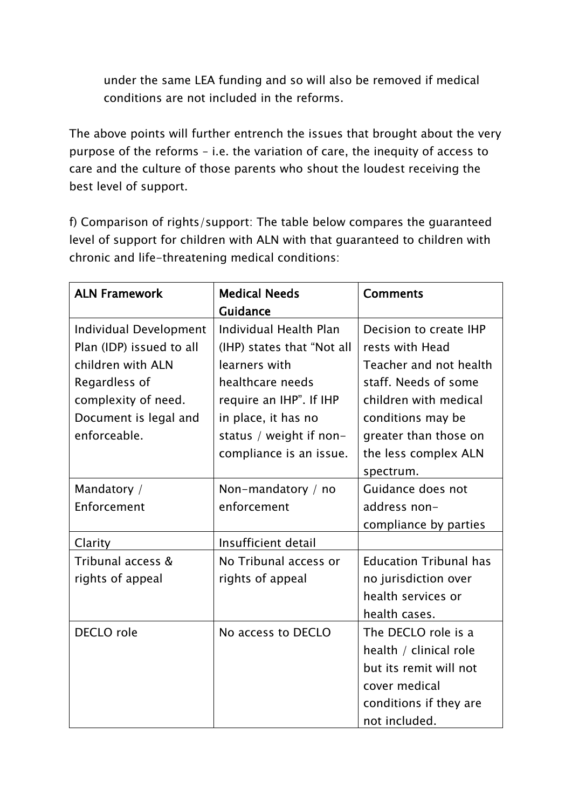under the same LEA funding and so will also be removed if medical conditions are not included in the reforms.

The above points will further entrench the issues that brought about the very purpose of the reforms – i.e. the variation of care, the inequity of access to care and the culture of those parents who shout the loudest receiving the best level of support.

f) Comparison of rights/support: The table below compares the guaranteed level of support for children with ALN with that guaranteed to children with chronic and life-threatening medical conditions:

| <b>ALN Framework</b>                                                                                                                                            | <b>Medical Needs</b><br>Guidance                                                                                                                                                                         | <b>Comments</b>                                                                                                                                                                            |
|-----------------------------------------------------------------------------------------------------------------------------------------------------------------|----------------------------------------------------------------------------------------------------------------------------------------------------------------------------------------------------------|--------------------------------------------------------------------------------------------------------------------------------------------------------------------------------------------|
| <b>Individual Development</b><br>Plan (IDP) issued to all<br>children with ALN<br>Regardless of<br>complexity of need.<br>Document is legal and<br>enforceable. | <b>Individual Health Plan</b><br>(IHP) states that "Not all<br>learners with<br>healthcare needs<br>require an IHP". If IHP<br>in place, it has no<br>status / weight if non-<br>compliance is an issue. | Decision to create IHP<br>rests with Head<br>Teacher and not health<br>staff. Needs of some<br>children with medical<br>conditions may be<br>greater than those on<br>the less complex ALN |
|                                                                                                                                                                 |                                                                                                                                                                                                          | spectrum.                                                                                                                                                                                  |
| Mandatory /<br>Enforcement                                                                                                                                      | Non-mandatory / no<br>enforcement                                                                                                                                                                        | Guidance does not<br>address non-<br>compliance by parties                                                                                                                                 |
| Clarity                                                                                                                                                         | Insufficient detail                                                                                                                                                                                      |                                                                                                                                                                                            |
| Tribunal access &<br>rights of appeal                                                                                                                           | No Tribunal access or<br>rights of appeal                                                                                                                                                                | <b>Education Tribunal has</b><br>no jurisdiction over<br>health services or<br>health cases.                                                                                               |
| DECLO role                                                                                                                                                      | No access to DECLO                                                                                                                                                                                       | The DECLO role is a<br>health / clinical role<br>but its remit will not<br>cover medical<br>conditions if they are<br>not included.                                                        |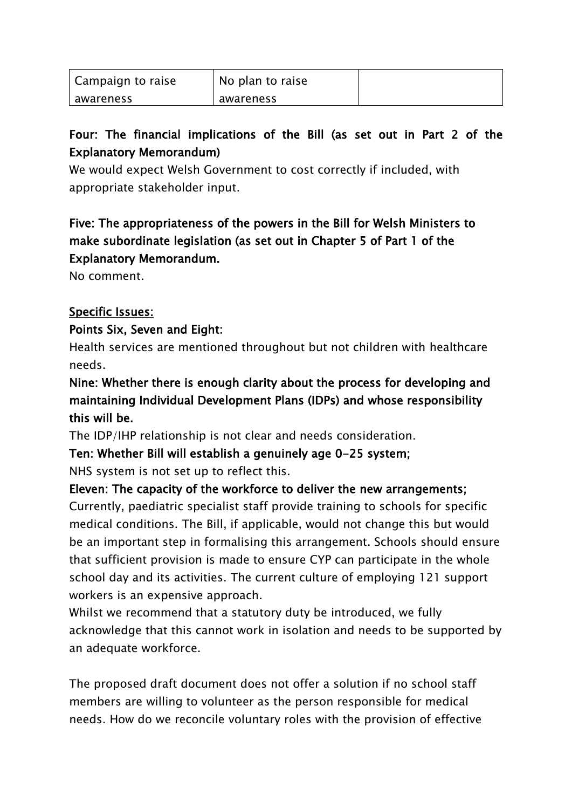| Campaign to raise |
|-------------------|
| awareness         |

## Four: The financial implications of the Bill (as set out in Part 2 of the Explanatory Memorandum)

We would expect Welsh Government to cost correctly if included, with appropriate stakeholder input.

# Five: The appropriateness of the powers in the Bill for Welsh Ministers to make subordinate legislation (as set out in Chapter 5 of Part 1 of the Explanatory Memorandum.

No comment.

### Specific Issues:

### Points Six, Seven and Eight:

Health services are mentioned throughout but not children with healthcare needs.

# Nine: Whether there is enough clarity about the process for developing and maintaining Individual Development Plans (IDPs) and whose responsibility this will be.

The IDP/IHP relationship is not clear and needs consideration.

### Ten: Whether Bill will establish a genuinely age 0-25 system;

NHS system is not set up to reflect this.

### Eleven: The capacity of the workforce to deliver the new arrangements;

Currently, paediatric specialist staff provide training to schools for specific medical conditions. The Bill, if applicable, would not change this but would be an important step in formalising this arrangement. Schools should ensure that sufficient provision is made to ensure CYP can participate in the whole school day and its activities. The current culture of employing 121 support workers is an expensive approach.

Whilst we recommend that a statutory duty be introduced, we fully acknowledge that this cannot work in isolation and needs to be supported by an adequate workforce.

The proposed draft document does not offer a solution if no school staff members are willing to volunteer as the person responsible for medical needs. How do we reconcile voluntary roles with the provision of effective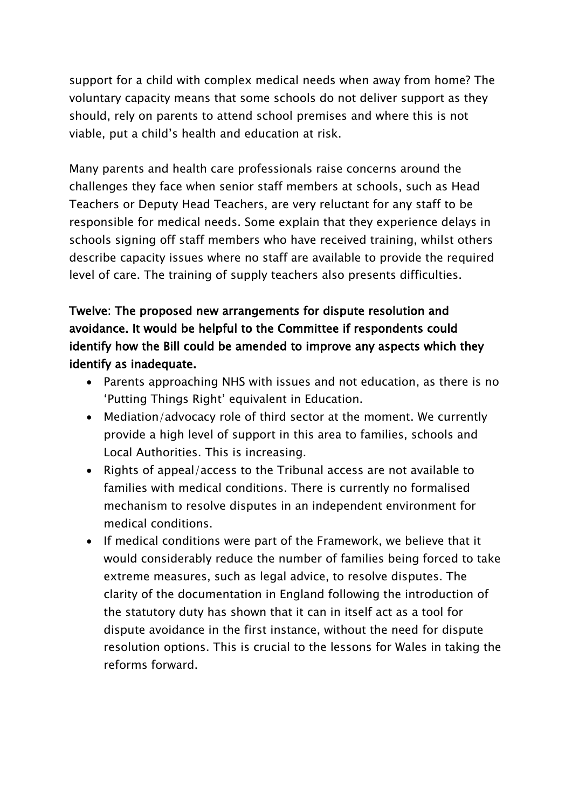support for a child with complex medical needs when away from home? The voluntary capacity means that some schools do not deliver support as they should, rely on parents to attend school premises and where this is not viable, put a child's health and education at risk.

Many parents and health care professionals raise concerns around the challenges they face when senior staff members at schools, such as Head Teachers or Deputy Head Teachers, are very reluctant for any staff to be responsible for medical needs. Some explain that they experience delays in schools signing off staff members who have received training, whilst others describe capacity issues where no staff are available to provide the required level of care. The training of supply teachers also presents difficulties.

# Twelve: The proposed new arrangements for dispute resolution and avoidance. It would be helpful to the Committee if respondents could identify how the Bill could be amended to improve any aspects which they identify as inadequate.

- Parents approaching NHS with issues and not education, as there is no 'Putting Things Right' equivalent in Education.
- Mediation/advocacy role of third sector at the moment. We currently provide a high level of support in this area to families, schools and Local Authorities. This is increasing.
- Rights of appeal/access to the Tribunal access are not available to families with medical conditions. There is currently no formalised mechanism to resolve disputes in an independent environment for medical conditions.
- If medical conditions were part of the Framework, we believe that it would considerably reduce the number of families being forced to take extreme measures, such as legal advice, to resolve disputes. The clarity of the documentation in England following the introduction of the statutory duty has shown that it can in itself act as a tool for dispute avoidance in the first instance, without the need for dispute resolution options. This is crucial to the lessons for Wales in taking the reforms forward.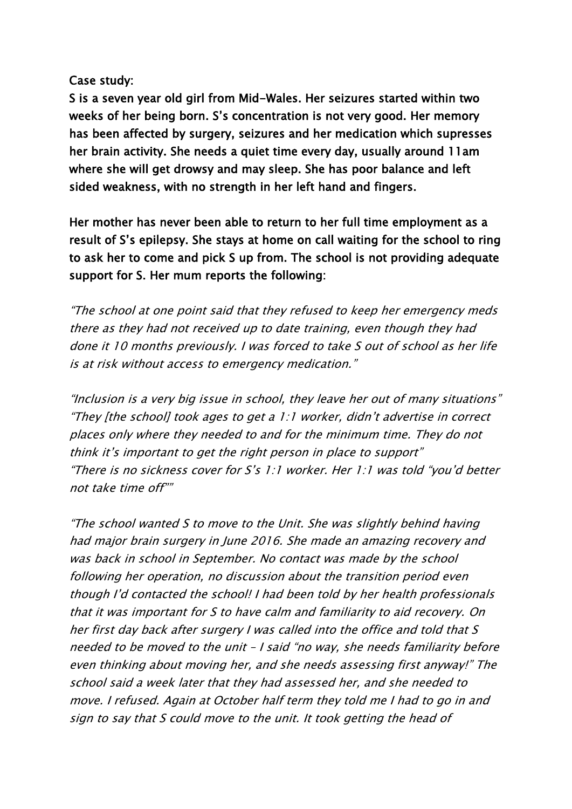#### Case study:

S is a seven year old girl from Mid-Wales. Her seizures started within two weeks of her being born. S's concentration is not very good. Her memory has been affected by surgery, seizures and her medication which supresses her brain activity. She needs a quiet time every day, usually around 11am where she will get drowsy and may sleep. She has poor balance and left sided weakness, with no strength in her left hand and fingers.

Her mother has never been able to return to her full time employment as a result of S's epilepsy. She stays at home on call waiting for the school to ring to ask her to come and pick S up from. The school is not providing adequate support for S. Her mum reports the following:

"The school at one point said that they refused to keep her emergency meds there as they had not received up to date training, even though they had done it 10 months previously. I was forced to take S out of school as her life is at risk without access to emergency medication."

"Inclusion is a very big issue in school, they leave her out of many situations" "They [the school] took ages to get a 1:1 worker, didn't advertise in correct places only where they needed to and for the minimum time. They do not think it's important to get the right person in place to support" "There is no sickness cover for S's 1:1 worker. Her 1:1 was told "you'd better not take time off""

"The school wanted S to move to the Unit. She was slightly behind having had major brain surgery in June 2016. She made an amazing recovery and was back in school in September. No contact was made by the school following her operation, no discussion about the transition period even though I'd contacted the school! I had been told by her health professionals that it was important for S to have calm and familiarity to aid recovery. On her first day back after surgery I was called into the office and told that S needed to be moved to the unit – I said "no way, she needs familiarity before even thinking about moving her, and she needs assessing first anyway!" The school said a week later that they had assessed her, and she needed to move. I refused. Again at October half term they told me I had to go in and sign to say that S could move to the unit. It took getting the head of